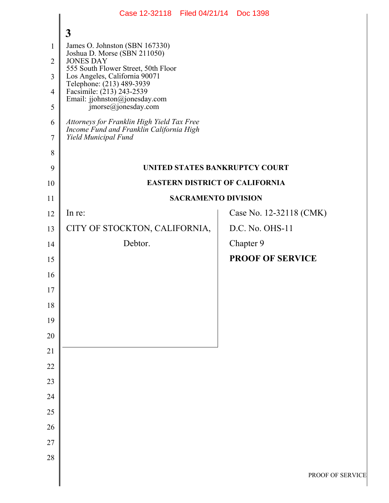|                | Case 12-32118 Filed 04/21/14 Doc 1398                                                                          |  |                                |                  |  |
|----------------|----------------------------------------------------------------------------------------------------------------|--|--------------------------------|------------------|--|
|                | $\mathbf{3}$                                                                                                   |  |                                |                  |  |
| 1              | James O. Johnston (SBN 167330)<br>Joshua D. Morse (SBN 211050)                                                 |  |                                |                  |  |
| $\overline{2}$ | <b>JONES DAY</b><br>555 South Flower Street, 50th Floor                                                        |  |                                |                  |  |
| 3              | Los Angeles, California 90071<br>Telephone: (213) 489-3939                                                     |  |                                |                  |  |
| $\overline{4}$ | Facsimile: (213) 243-2539<br>Email: jjohnston@jonesday.com                                                     |  |                                |                  |  |
| 5              | $\text{imorse}(a)$ jonesday.com                                                                                |  |                                |                  |  |
| 6<br>7         | Attorneys for Franklin High Yield Tax Free<br>Income Fund and Franklin California High<br>Yield Municipal Fund |  |                                |                  |  |
| 8              |                                                                                                                |  |                                |                  |  |
| 9              |                                                                                                                |  | UNITED STATES BANKRUPTCY COURT |                  |  |
| 10             | <b>EASTERN DISTRICT OF CALIFORNIA</b>                                                                          |  |                                |                  |  |
| 11             | <b>SACRAMENTO DIVISION</b>                                                                                     |  |                                |                  |  |
| 12             | In re:                                                                                                         |  | Case No. 12-32118 (CMK)        |                  |  |
| 13             | CITY OF STOCKTON, CALIFORNIA,                                                                                  |  | D.C. No. OHS-11                |                  |  |
| 14             | Debtor.                                                                                                        |  | Chapter 9                      |                  |  |
| 15             |                                                                                                                |  | <b>PROOF OF SERVICE</b>        |                  |  |
| 16             |                                                                                                                |  |                                |                  |  |
| 17             |                                                                                                                |  |                                |                  |  |
| 18             |                                                                                                                |  |                                |                  |  |
| 19             |                                                                                                                |  |                                |                  |  |
| 20             |                                                                                                                |  |                                |                  |  |
| 21             |                                                                                                                |  |                                |                  |  |
| 22             |                                                                                                                |  |                                |                  |  |
| 23             |                                                                                                                |  |                                |                  |  |
| 24             |                                                                                                                |  |                                |                  |  |
| $25\,$         |                                                                                                                |  |                                |                  |  |
| 26             |                                                                                                                |  |                                |                  |  |
| 27             |                                                                                                                |  |                                |                  |  |
| 28             |                                                                                                                |  |                                | PROOF OF SERVICE |  |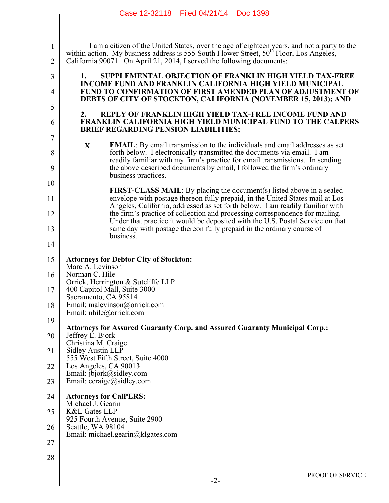|                     | Case 12-32118 Filed 04/21/14 Doc 1398                                                                                                                                                                                                                                        |  |  |  |  |
|---------------------|------------------------------------------------------------------------------------------------------------------------------------------------------------------------------------------------------------------------------------------------------------------------------|--|--|--|--|
|                     |                                                                                                                                                                                                                                                                              |  |  |  |  |
| 1<br>$\overline{2}$ | I am a citizen of the United States, over the age of eighteen years, and not a party to the<br>within action. My business address is 555 South Flower Street, 50 <sup>th</sup> Floor, Los Angeles,<br>California 90071. On April 21, 2014, I served the following documents: |  |  |  |  |
| 3                   | <b>SUPPLEMENTAL OBJECTION OF FRANKLIN HIGH YIELD TAX-FREE</b><br>1.                                                                                                                                                                                                          |  |  |  |  |
| 4                   | <b>INCOME FUND AND FRANKLIN CALIFORNIA HIGH YIELD MUNICIPAL</b><br><b>FUND TO CONFIRMATION OF FIRST AMENDED PLAN OF ADJUSTMENT OF</b><br>DEBTS OF CITY OF STOCKTON, CALIFORNIA (NOVEMBER 15, 2013); AND                                                                      |  |  |  |  |
| 5                   | REPLY OF FRANKLIN HIGH YIELD TAX-FREE INCOME FUND AND<br>2.                                                                                                                                                                                                                  |  |  |  |  |
| 6                   | <b>FRANKLIN CALIFORNIA HIGH YIELD MUNICIPAL FUND TO THE CALPERS</b><br><b>BRIEF REGARDING PENSION LIABILITIES;</b>                                                                                                                                                           |  |  |  |  |
| 7                   | <b>EMAIL:</b> By email transmission to the individuals and email addresses as set<br>$\mathbf{X}$                                                                                                                                                                            |  |  |  |  |
| 8<br>9              | forth below. I electronically transmitted the documents via email. I am<br>readily familiar with my firm's practice for email transmissions. In sending<br>the above described documents by email, I followed the firm's ordinary<br>business practices.                     |  |  |  |  |
| 10                  |                                                                                                                                                                                                                                                                              |  |  |  |  |
| 11                  | <b>FIRST-CLASS MAIL:</b> By placing the document(s) listed above in a sealed<br>envelope with postage thereon fully prepaid, in the United States mail at Los                                                                                                                |  |  |  |  |
| 12                  | Angeles, California, addressed as set forth below. I am readily familiar with<br>the firm's practice of collection and processing correspondence for mailing.                                                                                                                |  |  |  |  |
| 13                  | Under that practice it would be deposited with the U.S. Postal Service on that<br>same day with postage thereon fully prepaid in the ordinary course of                                                                                                                      |  |  |  |  |
| 14                  | business.                                                                                                                                                                                                                                                                    |  |  |  |  |
| 15                  | <b>Attorneys for Debtor City of Stockton:</b><br>Marc A. Levinson                                                                                                                                                                                                            |  |  |  |  |
| 16                  | Norman C. Hile<br>Orrick, Herrington & Sutcliffe LLP                                                                                                                                                                                                                         |  |  |  |  |
| 17                  | 400 Capitol Mall, Suite 3000<br>Sacramento, CA 95814                                                                                                                                                                                                                         |  |  |  |  |
| 18                  | Email: malevinson@orrick.com<br>Email: nhile@orrick.com                                                                                                                                                                                                                      |  |  |  |  |
| 19                  |                                                                                                                                                                                                                                                                              |  |  |  |  |
| 20                  | <b>Attorneys for Assured Guaranty Corp. and Assured Guaranty Municipal Corp.:</b><br>Jeffrey E. Bjork                                                                                                                                                                        |  |  |  |  |
| 21                  | Christina M. Craige<br>Sidley Austin LLP<br>555 West Fifth Street, Suite 4000                                                                                                                                                                                                |  |  |  |  |
| 22                  | Los Angeles, CA 90013<br>Email: jbjork@sidley.com                                                                                                                                                                                                                            |  |  |  |  |
| 23                  | Email: $ccrauge@sidley.com$                                                                                                                                                                                                                                                  |  |  |  |  |
| 24                  | <b>Attorneys for CalPERS:</b>                                                                                                                                                                                                                                                |  |  |  |  |
| 25                  | Michael J. Gearin<br><b>K&amp;L Gates LLP</b>                                                                                                                                                                                                                                |  |  |  |  |
| 26                  | 925 Fourth Avenue, Suite 2900<br>Seattle, WA 98104                                                                                                                                                                                                                           |  |  |  |  |
| 27                  | Email: michael.gearin@klgates.com                                                                                                                                                                                                                                            |  |  |  |  |
| 28                  |                                                                                                                                                                                                                                                                              |  |  |  |  |
|                     | PROOF OF SERVICI                                                                                                                                                                                                                                                             |  |  |  |  |
|                     | $-2-$                                                                                                                                                                                                                                                                        |  |  |  |  |